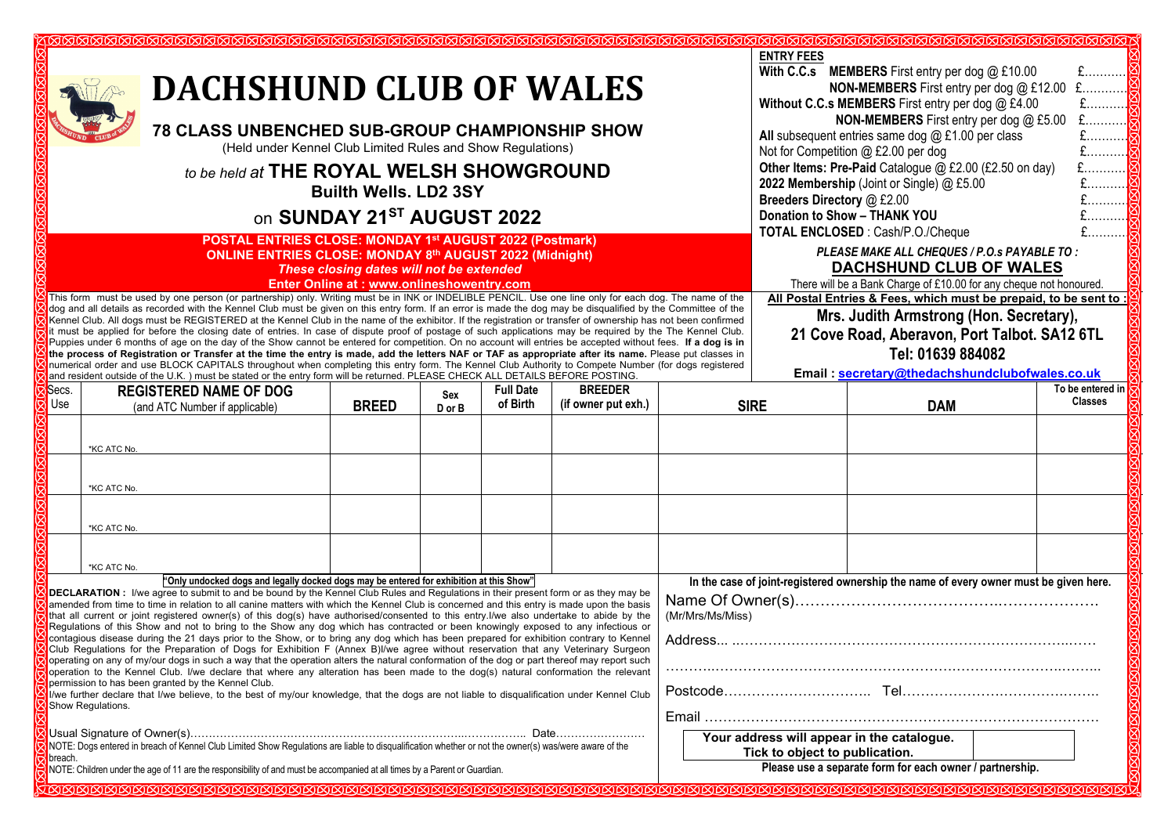| <u>MMMMMMMMMMMMMMMMMMMMMMMMMM</u><br><b>DACHSHUND CLUB OF WALES</b><br><b>78 CLASS UNBENCHED SUB-GROUP CHAMPIONSHIP SHOW</b><br>(Held under Kennel Club Limited Rules and Show Regulations)<br>to be held at THE ROYAL WELSH SHOWGROUND<br><b>Builth Wells. LD2 3SY</b><br>on SUNDAY 21ST AUGUST 2022<br>POSTAL ENTRIES CLOSE: MONDAY 1st AUGUST 2022 (Postmark)<br><b>ONLINE ENTRIES CLOSE: MONDAY 8th AUGUST 2022 (Midnight)</b><br>These closing dates will not be extended<br>Enter Online at: www.onlineshowentry.com<br>This form must be used by one person (or partnership) only. Writing must be in INK or INDELIBLE PENCIL. Use one line only for each dog. The name of the                                                                                                                                                                                                                                                                                                                                                                                                                                                                                                                                                                                              |                                                                                                                                                                                                                                                                                                                                                                                                                                                                                                                                                                                                                                                                                                                                                                                                                                                                                                                                                                                                                                                                                                                                                                                                                                                                                                                                                                                                                                                                    |                                                                                                                      |               |                              |                                       |             | <b>ENTRY FEES</b><br>With C.C.s MEMBERS First entry per dog @ £10.00<br>$f$<br>$E$<br>NON-MEMBERS First entry per dog @ £12.00<br>Without C.C.s MEMBERS First entry per dog @ £4.00<br>$E$<br>£<br>NON-MEMBERS First entry per dog @ £5.00<br>All subsequent entries same dog $@$ £1.00 per class<br>Not for Competition @ £2.00 per dog<br>Other Items: Pre-Paid Catalogue @ £2.00 (£2.50 on day)<br>2022 Membership (Joint or Single) @ £5.00<br>Breeders Directory @ £2.00<br>Donation to Show - THANK YOU<br>TOTAL ENCLOSED : Cash/P.O./Cheque<br>PLEASE MAKE ALL CHEQUES / P.O.s PAYABLE TO:<br><b>DACHSHUND CLUB OF WALES</b><br>There will be a Bank Charge of £10.00 for any cheque not honoured.<br>All Postal Entries & Fees, which must be prepaid, to be sent to |            |                                    |  |
|------------------------------------------------------------------------------------------------------------------------------------------------------------------------------------------------------------------------------------------------------------------------------------------------------------------------------------------------------------------------------------------------------------------------------------------------------------------------------------------------------------------------------------------------------------------------------------------------------------------------------------------------------------------------------------------------------------------------------------------------------------------------------------------------------------------------------------------------------------------------------------------------------------------------------------------------------------------------------------------------------------------------------------------------------------------------------------------------------------------------------------------------------------------------------------------------------------------------------------------------------------------------------------|--------------------------------------------------------------------------------------------------------------------------------------------------------------------------------------------------------------------------------------------------------------------------------------------------------------------------------------------------------------------------------------------------------------------------------------------------------------------------------------------------------------------------------------------------------------------------------------------------------------------------------------------------------------------------------------------------------------------------------------------------------------------------------------------------------------------------------------------------------------------------------------------------------------------------------------------------------------------------------------------------------------------------------------------------------------------------------------------------------------------------------------------------------------------------------------------------------------------------------------------------------------------------------------------------------------------------------------------------------------------------------------------------------------------------------------------------------------------|----------------------------------------------------------------------------------------------------------------------|---------------|------------------------------|---------------------------------------|-------------|------------------------------------------------------------------------------------------------------------------------------------------------------------------------------------------------------------------------------------------------------------------------------------------------------------------------------------------------------------------------------------------------------------------------------------------------------------------------------------------------------------------------------------------------------------------------------------------------------------------------------------------------------------------------------------------------------------------------------------------------------------------------------|------------|------------------------------------|--|
| dog and all details as recorded with the Kennel Club must be given on this entry form. If an error is made the dog may be disqualified by the Committee of the<br>Mrs. Judith Armstrong (Hon. Secretary),<br>Kennel Club. All dogs must be REGISTERED at the Kennel Club in the name of the exhibitor. If the registration or transfer of ownership has not been confirmed<br>it must be applied for before the closing date of entries. In case of dispute proof of postage of such applications may be required by the The Kennel Club.<br>21 Cove Road, Aberavon, Port Talbot. SA12 6TL<br>Puppies under 6 months of age on the day of the Show cannot be entered for competition. On no account will entries be accepted without fees. If a dog is in<br>Tel: 01639 884082<br>the process of Registration or Transfer at the time the entry is made, add the letters NAF or TAF as appropriate after its name. Please put classes in<br>numerical order and use BLOCK CAPITALS throughout when completing this entry form. The Kennel Club Authority to Compete Number (for dogs registered<br>Email: secretary@thedachshundclubofwales.co.uk<br>and resident outside of the U.K.) must be stated or the entry form will be returned. PLEASE CHECK ALL DETAILS BEFORE POSTING. |                                                                                                                                                                                                                                                                                                                                                                                                                                                                                                                                                                                                                                                                                                                                                                                                                                                                                                                                                                                                                                                                                                                                                                                                                                                                                                                                                                                                                                                                    |                                                                                                                      |               |                              |                                       |             |                                                                                                                                                                                                                                                                                                                                                                                                                                                                                                                                                                                                                                                                                                                                                                              |            |                                    |  |
| Secs.<br>Use                                                                                                                                                                                                                                                                                                                                                                                                                                                                                                                                                                                                                                                                                                                                                                                                                                                                                                                                                                                                                                                                                                                                                                                                                                                                       | <b>REGISTERED NAME OF DOG</b><br>(and ATC Number if applicable)                                                                                                                                                                                                                                                                                                                                                                                                                                                                                                                                                                                                                                                                                                                                                                                                                                                                                                                                                                                                                                                                                                                                                                                                                                                                                                                                                                                                    | <b>BREED</b>                                                                                                         | Sex<br>D or B | <b>Full Date</b><br>of Birth | <b>BREEDER</b><br>(if owner put exh.) | <b>SIRE</b> |                                                                                                                                                                                                                                                                                                                                                                                                                                                                                                                                                                                                                                                                                                                                                                              | <b>DAM</b> | To be entered in<br><b>Classes</b> |  |
|                                                                                                                                                                                                                                                                                                                                                                                                                                                                                                                                                                                                                                                                                                                                                                                                                                                                                                                                                                                                                                                                                                                                                                                                                                                                                    | *KC ATC No.<br>*KC ATC No.<br>*KC ATC No.                                                                                                                                                                                                                                                                                                                                                                                                                                                                                                                                                                                                                                                                                                                                                                                                                                                                                                                                                                                                                                                                                                                                                                                                                                                                                                                                                                                                                          |                                                                                                                      |               |                              |                                       |             |                                                                                                                                                                                                                                                                                                                                                                                                                                                                                                                                                                                                                                                                                                                                                                              |            |                                    |  |
|                                                                                                                                                                                                                                                                                                                                                                                                                                                                                                                                                                                                                                                                                                                                                                                                                                                                                                                                                                                                                                                                                                                                                                                                                                                                                    |                                                                                                                                                                                                                                                                                                                                                                                                                                                                                                                                                                                                                                                                                                                                                                                                                                                                                                                                                                                                                                                                                                                                                                                                                                                                                                                                                                                                                                                                    |                                                                                                                      |               |                              |                                       |             |                                                                                                                                                                                                                                                                                                                                                                                                                                                                                                                                                                                                                                                                                                                                                                              |            |                                    |  |
|                                                                                                                                                                                                                                                                                                                                                                                                                                                                                                                                                                                                                                                                                                                                                                                                                                                                                                                                                                                                                                                                                                                                                                                                                                                                                    | *KC ATC No.                                                                                                                                                                                                                                                                                                                                                                                                                                                                                                                                                                                                                                                                                                                                                                                                                                                                                                                                                                                                                                                                                                                                                                                                                                                                                                                                                                                                                                                        |                                                                                                                      |               |                              |                                       |             |                                                                                                                                                                                                                                                                                                                                                                                                                                                                                                                                                                                                                                                                                                                                                                              |            |                                    |  |
|                                                                                                                                                                                                                                                                                                                                                                                                                                                                                                                                                                                                                                                                                                                                                                                                                                                                                                                                                                                                                                                                                                                                                                                                                                                                                    | "Only undocked dogs and legally docked dogs may be entered for exhibition at this Show"<br><b>DECLARATION</b> : I/we agree to submit to and be bound by the Kennel Club Rules and Regulations in their present form or as they may be<br>amended from time to time in relation to all canine matters with which the Kennel Club is concerned and this entry is made upon the basis<br>that all current or joint registered owner(s) of this dog(s) have authorised/consented to this entry. I/we also undertake to abide by the<br>Regulations of this Show and not to bring to the Show any dog which has contracted or been knowingly exposed to any infectious or<br>contagious disease during the 21 days prior to the Show, or to bring any dog which has been prepared for exhibition contrary to Kennel<br>Club Regulations for the Preparation of Dogs for Exhibition F (Annex B)I/we agree without reservation that any Veterinary Surgeon<br>operating on any of my/our dogs in such a way that the operation alters the natural conformation of the dog or part thereof may report such<br>operation to the Kennel Club. I/we declare that where any alteration has been made to the dog(s) natural conformation the relevant<br>permission to has been granted by the Kennel Club.<br>I/we further declare that I/we believe, to the best of my/our knowledge, that the dogs are not liable to disqualification under Kennel Club<br>Show Regulations. | In the case of joint-registered ownership the name of every owner must be given here.<br>(Mr/Mrs/Ms/Miss)<br>Address |               |                              |                                       |             |                                                                                                                                                                                                                                                                                                                                                                                                                                                                                                                                                                                                                                                                                                                                                                              |            |                                    |  |
|                                                                                                                                                                                                                                                                                                                                                                                                                                                                                                                                                                                                                                                                                                                                                                                                                                                                                                                                                                                                                                                                                                                                                                                                                                                                                    | NOTE: Dogs entered in breach of Kennel Club Limited Show Regulations are liable to disgualification whether or not the owner(s) was/were aware of the<br>breach.<br>NOTE: Children under the age of 11 are the responsibility of and must be accompanied at all times by a Parent or Guardian.                                                                                                                                                                                                                                                                                                                                                                                                                                                                                                                                                                                                                                                                                                                                                                                                                                                                                                                                                                                                                                                                                                                                                                     |                                                                                                                      |               |                              |                                       |             | Your address will appear in the catalogue.<br>Tick to object to publication.<br>Please use a separate form for each owner / partnership.                                                                                                                                                                                                                                                                                                                                                                                                                                                                                                                                                                                                                                     |            |                                    |  |